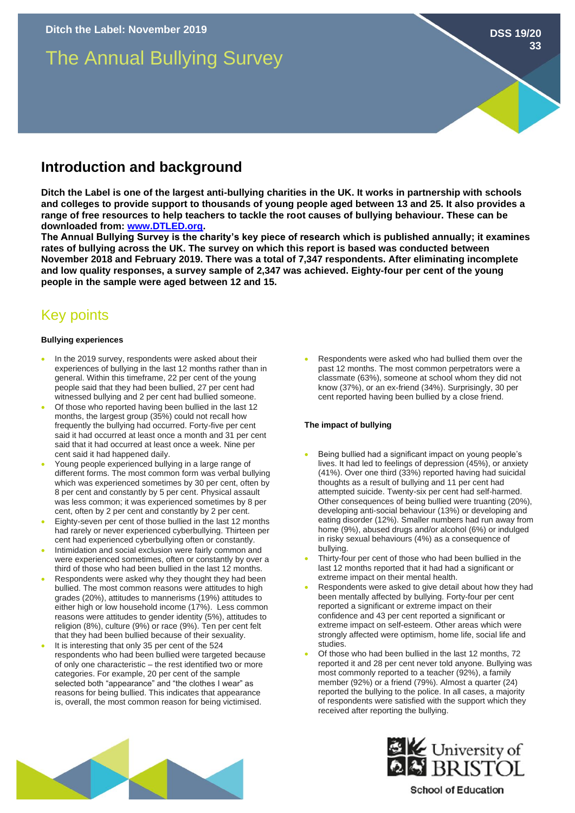# The Annual Bullying Survey

### **Introduction and background**

**Ditch the Label is one of the largest anti-bullying charities in the UK. It works in partnership with schools and colleges to provide support to thousands of young people aged between 13 and 25. It also provides a range of free resources to help teachers to tackle the root causes of bullying behaviour. These can be downloaded from: [www.DTLED.org.](http://www.dtled.org/)** 

**The Annual Bullying Survey is the charity's key piece of research which is published annually; it examines rates of bullying across the UK. The survey on which this report is based was conducted between November 2018 and February 2019. There was a total of 7,347 respondents. After eliminating incomplete and low quality responses, a survey sample of 2,347 was achieved. Eighty-four per cent of the young people in the sample were aged between 12 and 15.** 

## Key points

#### **Bullying experiences**

- In the 2019 survey, respondents were asked about their experiences of bullying in the last 12 months rather than in general. Within this timeframe, 22 per cent of the young people said that they had been bullied, 27 per cent had witnessed bullying and 2 per cent had bullied someone.
- Of those who reported having been bullied in the last 12 months, the largest group (35%) could not recall how frequently the bullying had occurred. Forty-five per cent said it had occurred at least once a month and 31 per cent said that it had occurred at least once a week. Nine per cent said it had happened daily.
- Young people experienced bullying in a large range of different forms. The most common form was verbal bullying which was experienced sometimes by 30 per cent, often by 8 per cent and constantly by 5 per cent. Physical assault was less common; it was experienced sometimes by 8 per cent, often by 2 per cent and constantly by 2 per cent.
- Eighty-seven per cent of those bullied in the last 12 months had rarely or never experienced cyberbullying. Thirteen per cent had experienced cyberbullying often or constantly.
- Intimidation and social exclusion were fairly common and were experienced sometimes, often or constantly by over a third of those who had been bullied in the last 12 months.
- Respondents were asked why they thought they had been bullied. The most common reasons were attitudes to high grades (20%), attitudes to mannerisms (19%) attitudes to either high or low household income (17%). Less common reasons were attitudes to gender identity (5%), attitudes to religion (8%), culture (9%) or race (9%). Ten per cent felt that they had been bullied because of their sexuality.
- It is interesting that only 35 per cent of the 524 respondents who had been bullied were targeted because of only one characteristic – the rest identified two or more categories. For example, 20 per cent of the sample selected both "appearance" and "the clothes I wear" as reasons for being bullied. This indicates that appearance is, overall, the most common reason for being victimised.

Respondents were asked who had bullied them over the past 12 months. The most common perpetrators were a classmate (63%), someone at school whom they did not know (37%), or an ex-friend (34%). Surprisingly, 30 per cent reported having been bullied by a close friend.

#### **The impact of bullying**

- Being bullied had a significant impact on young people's lives. It had led to feelings of depression (45%), or anxiety (41%). Over one third (33%) reported having had suicidal thoughts as a result of bullying and 11 per cent had attempted suicide. Twenty-six per cent had self-harmed. Other consequences of being bullied were truanting (20%), developing anti-social behaviour (13%) or developing and eating disorder (12%). Smaller numbers had run away from home (9%), abused drugs and/or alcohol (6%) or indulged in risky sexual behaviours (4%) as a consequence of bullying.
- Thirty-four per cent of those who had been bullied in the last 12 months reported that it had had a significant or extreme impact on their mental health.
- Respondents were asked to give detail about how they had been mentally affected by bullying. Forty-four per cent reported a significant or extreme impact on their confidence and 43 per cent reported a significant or extreme impact on self-esteem. Other areas which were strongly affected were optimism, home life, social life and studies.
- Of those who had been bullied in the last 12 months, 72 reported it and 28 per cent never told anyone. Bullying was most commonly reported to a teacher (92%), a family member (92%) or a friend (79%). Almost a quarter (24) reported the bullying to the police. In all cases, a majority of respondents were satisfied with the support which they received after reporting the bullying.





**School of Education** 

**DSS 19/20**

**33**